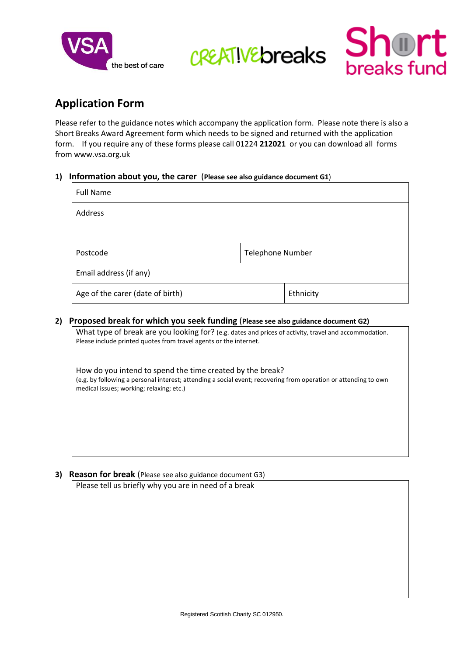

CREATIVE breaks Short

# **Application Form**

Please refer to the guidance notes which accompany the application form. Please note there is also a Short Breaks Award Agreement form which needs to be signed and returned with the application form. If you require any of these forms please call 01224 **212021** or you can download all forms from www.vsa.org.uk

#### **1) Information about you, the carer** (**Please see also guidance document G1**)

| <b>Full Name</b>                 |                         |           |
|----------------------------------|-------------------------|-----------|
| Address                          |                         |           |
|                                  |                         |           |
| Postcode                         | <b>Telephone Number</b> |           |
| Email address (if any)           |                         |           |
| Age of the carer (date of birth) |                         | Ethnicity |

#### **2) Proposed break for which you seek funding** (**Please see also guidance document G2)**

What type of break are you looking for? (e.g. dates and prices of activity, travel and accommodation. Please include printed quotes from travel agents or the internet.

How do you intend to spend the time created by the break? (e.g. by following a personal interest; attending a social event; recovering from operation or attending to own medical issues; working; relaxing; etc.)

## **3) Reason for break** (Please see also guidance document G3)

Please tell us briefly why you are in need of a break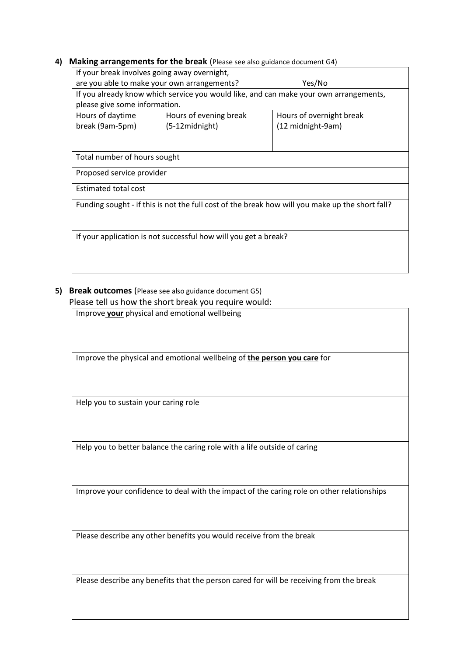#### **4) Making arrangements for the break** (Please see also guidance document G4)

| If your break involves going away overnight,                                                    |                        |                                                                                       |  |
|-------------------------------------------------------------------------------------------------|------------------------|---------------------------------------------------------------------------------------|--|
| are you able to make your own arrangements?<br>Yes/No                                           |                        |                                                                                       |  |
|                                                                                                 |                        | If you already know which service you would like, and can make your own arrangements, |  |
| please give some information.                                                                   |                        |                                                                                       |  |
| Hours of daytime                                                                                | Hours of evening break | Hours of overnight break                                                              |  |
| break (9am-5pm)                                                                                 | (5-12midnight)         | (12 midnight-9am)                                                                     |  |
|                                                                                                 |                        |                                                                                       |  |
|                                                                                                 |                        |                                                                                       |  |
| Total number of hours sought                                                                    |                        |                                                                                       |  |
| Proposed service provider                                                                       |                        |                                                                                       |  |
| <b>Estimated total cost</b>                                                                     |                        |                                                                                       |  |
| Funding sought - if this is not the full cost of the break how will you make up the short fall? |                        |                                                                                       |  |
|                                                                                                 |                        |                                                                                       |  |
|                                                                                                 |                        |                                                                                       |  |
| If your application is not successful how will you get a break?                                 |                        |                                                                                       |  |
|                                                                                                 |                        |                                                                                       |  |
|                                                                                                 |                        |                                                                                       |  |

# **5) Break outcomes** (Please see also guidance document G5) Please tell us how the short break you require would:

Improve **your** physical and emotional wellbeing

Improve the physical and emotional wellbeing of **the person you care** for

Help you to sustain your caring role

Help you to better balance the caring role with a life outside of caring

Improve your confidence to deal with the impact of the caring role on other relationships

Please describe any other benefits you would receive from the break

Please describe any benefits that the person cared for will be receiving from the break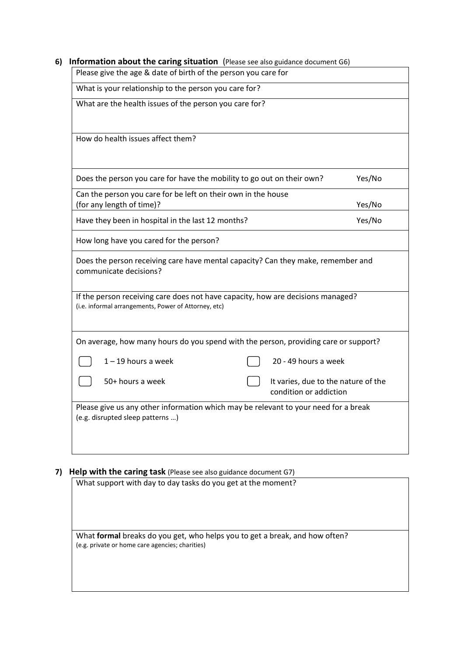|  | 6) Information about the caring situation (Please see also guidance document G6) |  |
|--|----------------------------------------------------------------------------------|--|
|--|----------------------------------------------------------------------------------|--|

| Please give the age & date of birth of the person you care for                                                                          |                                                               |        |
|-----------------------------------------------------------------------------------------------------------------------------------------|---------------------------------------------------------------|--------|
| What is your relationship to the person you care for?                                                                                   |                                                               |        |
| What are the health issues of the person you care for?                                                                                  |                                                               |        |
| How do health issues affect them?                                                                                                       |                                                               |        |
| Does the person you care for have the mobility to go out on their own?                                                                  |                                                               | Yes/No |
| Can the person you care for be left on their own in the house<br>(for any length of time)?                                              |                                                               | Yes/No |
| Have they been in hospital in the last 12 months?                                                                                       |                                                               | Yes/No |
| How long have you cared for the person?                                                                                                 |                                                               |        |
| Does the person receiving care have mental capacity? Can they make, remember and<br>communicate decisions?                              |                                                               |        |
| If the person receiving care does not have capacity, how are decisions managed?<br>(i.e. informal arrangements, Power of Attorney, etc) |                                                               |        |
| On average, how many hours do you spend with the person, providing care or support?                                                     |                                                               |        |
| $1 - 19$ hours a week                                                                                                                   | 20 - 49 hours a week                                          |        |
| 50+ hours a week                                                                                                                        | It varies, due to the nature of the<br>condition or addiction |        |
| Please give us any other information which may be relevant to your need for a break<br>(e.g. disrupted sleep patterns )                 |                                                               |        |
|                                                                                                                                         |                                                               |        |

# **7) Help with the caring task** (Please see also guidance document G7)

| .                                                                                                                              |  |
|--------------------------------------------------------------------------------------------------------------------------------|--|
| What support with day to day tasks do you get at the moment?                                                                   |  |
| What formal breaks do you get, who helps you to get a break, and how often?<br>(e.g. private or home care agencies; charities) |  |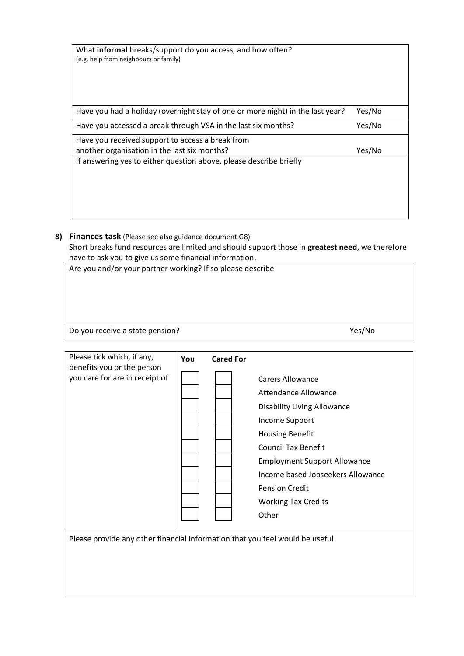| What <b>informal</b> breaks/support do you access, and how often?<br>(e.g. help from neighbours or family) |        |
|------------------------------------------------------------------------------------------------------------|--------|
| Have you had a holiday (overnight stay of one or more night) in the last year?                             | Yes/No |
| Have you accessed a break through VSA in the last six months?                                              | Yes/No |
| Have you received support to access a break from<br>another organisation in the last six months?           | Yes/No |
| If answering yes to either question above, please describe briefly                                         |        |
|                                                                                                            |        |
|                                                                                                            |        |

**8) Finances task** (Please see also guidance document G8) Short breaks fund resources are limited and should support those in **greatest need**, we therefore have to ask you to give us some financial information.

Are you and/or your partner working? If so please describe

Do you receive a state pension? The state of the state of the state of the state of the state of the state of the state of the state of the state of the state of the state of the state of the state of the state of the stat

| Please tick which, if any,<br>benefits you or the person<br>you care for are in receipt of | You | <b>Cared For</b> | <b>Carers Allowance</b><br><b>Attendance Allowance</b><br><b>Disability Living Allowance</b><br>Income Support<br><b>Housing Benefit</b><br><b>Council Tax Benefit</b><br><b>Employment Support Allowance</b><br>Income based Jobseekers Allowance<br><b>Pension Credit</b><br><b>Working Tax Credits</b><br>Other |
|--------------------------------------------------------------------------------------------|-----|------------------|--------------------------------------------------------------------------------------------------------------------------------------------------------------------------------------------------------------------------------------------------------------------------------------------------------------------|
| Please provide any other financial information that you feel would be useful               |     |                  |                                                                                                                                                                                                                                                                                                                    |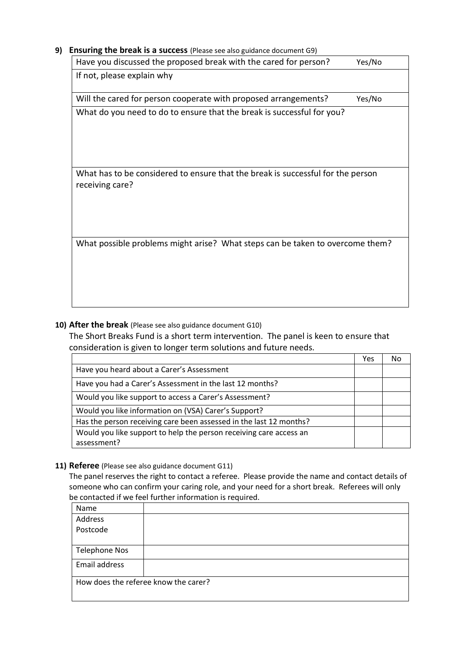## **9) Ensuring the break is a success** (Please see also guidance document G9)

| Have you discussed the proposed break with the cared for person?                | Yes/No |
|---------------------------------------------------------------------------------|--------|
| If not, please explain why                                                      |        |
| Will the cared for person cooperate with proposed arrangements?                 | Yes/No |
| What do you need to do to ensure that the break is successful for you?          |        |
|                                                                                 |        |
|                                                                                 |        |
|                                                                                 |        |
| What has to be considered to ensure that the break is successful for the person |        |
| receiving care?                                                                 |        |
|                                                                                 |        |
|                                                                                 |        |
|                                                                                 |        |
| What possible problems might arise? What steps can be taken to overcome them?   |        |
|                                                                                 |        |
|                                                                                 |        |
|                                                                                 |        |
|                                                                                 |        |
|                                                                                 |        |

# **10) After the break** (Please see also guidance document G10)

The Short Breaks Fund is a short term intervention. The panel is keen to ensure that consideration is given to longer term solutions and future needs.

|                                                                    | Yes | N٥ |
|--------------------------------------------------------------------|-----|----|
| Have you heard about a Carer's Assessment                          |     |    |
| Have you had a Carer's Assessment in the last 12 months?           |     |    |
| Would you like support to access a Carer's Assessment?             |     |    |
| Would you like information on (VSA) Carer's Support?               |     |    |
| Has the person receiving care been assessed in the last 12 months? |     |    |
| Would you like support to help the person receiving care access an |     |    |
| assessment?                                                        |     |    |

## **11) Referee** (Please see also guidance document G11)

The panel reserves the right to contact a referee. Please provide the name and contact details of someone who can confirm your caring role, and your need for a short break. Referees will only be contacted if we feel further information is required.

| Name                                 |  |
|--------------------------------------|--|
| Address                              |  |
| Postcode                             |  |
|                                      |  |
| <b>Telephone Nos</b>                 |  |
| Email address                        |  |
| How does the referee know the carer? |  |
|                                      |  |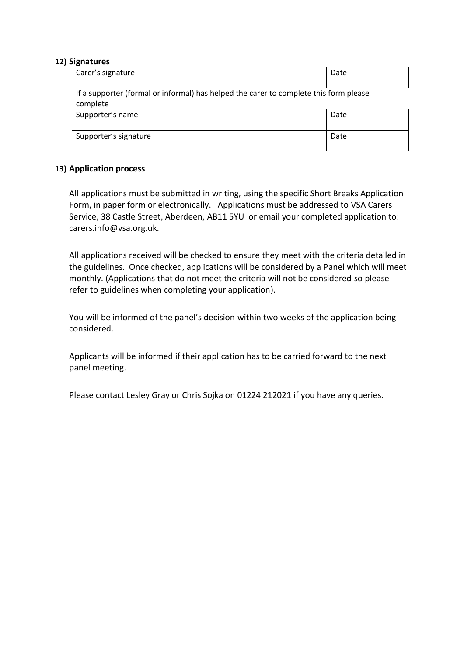#### **12) Signatures**

| Carer's signature     |                                                                                       | Date |
|-----------------------|---------------------------------------------------------------------------------------|------|
| complete              | If a supporter (formal or informal) has helped the carer to complete this form please |      |
| Supporter's name      |                                                                                       | Date |
| Supporter's signature |                                                                                       | Date |

## **13) Application process**

All applications must be submitted in writing, using the specific Short Breaks Application Form, in paper form or electronically. Applications must be addressed to VSA Carers Service, 38 Castle Street, Aberdeen, AB11 5YU or email your completed application to: carers.info@vsa.org.uk.

All applications received will be checked to ensure they meet with the criteria detailed in the guidelines. Once checked, applications will be considered by a Panel which will meet monthly. (Applications that do not meet the criteria will not be considered so please refer to guidelines when completing your application).

You will be informed of the panel's decision within two weeks of the application being considered.

Applicants will be informed if their application has to be carried forward to the next panel meeting.

Please contact Lesley Gray or Chris Sojka on 01224 212021 if you have any queries.